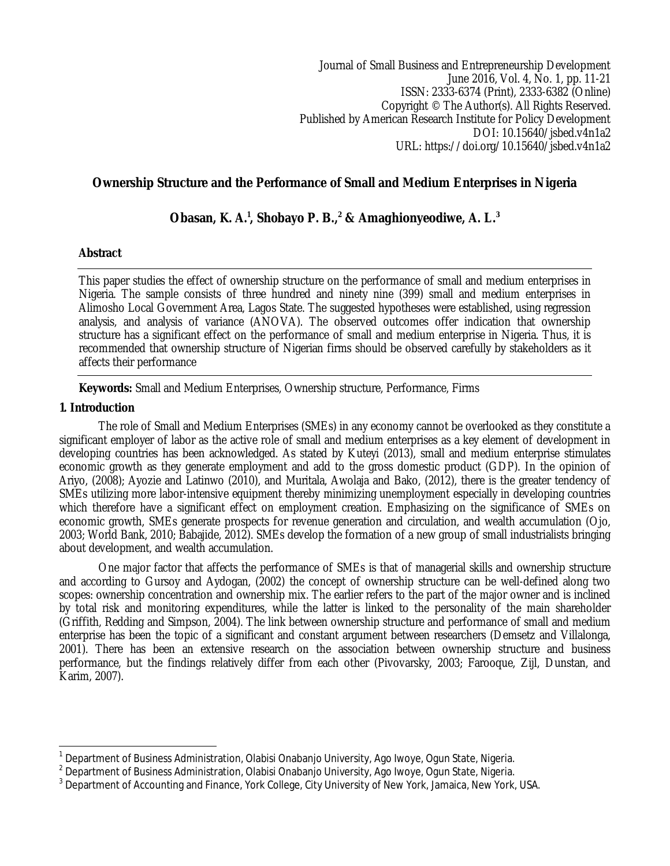Journal of Small Business and Entrepreneurship Development June 2016, Vol. 4, No. 1, pp. 11-21 ISSN: 2333-6374 (Print), 2333-6382 (Online) Copyright © The Author(s). All Rights Reserved. Published by American Research Institute for Policy Development DOI: 10.15640/isbed.v4n1a2 URL: https://doi.org/10.15640/jsbed.v4n1a2

# **Ownership Structure and the Performance of Small and Medium Enterprises in Nigeria**

# **Obasan, K. A.<sup>1</sup> , Shobayo P. B.,<sup>2</sup> & Amaghionyeodiwe, A. L.<sup>3</sup>**

# **Abstract**

This paper studies the effect of ownership structure on the performance of small and medium enterprises in Nigeria. The sample consists of three hundred and ninety nine (399) small and medium enterprises in Alimosho Local Government Area, Lagos State. The suggested hypotheses were established, using regression analysis, and analysis of variance (ANOVA). The observed outcomes offer indication that ownership structure has a significant effect on the performance of small and medium enterprise in Nigeria. Thus, it is recommended that ownership structure of Nigerian firms should be observed carefully by stakeholders as it affects their performance

**Keywords:** Small and Medium Enterprises, Ownership structure, Performance, Firms

# **1. Introduction**

The role of Small and Medium Enterprises (SMEs) in any economy cannot be overlooked as they constitute a significant employer of labor as the active role of small and medium enterprises as a key element of development in developing countries has been acknowledged. As stated by Kuteyi (2013), small and medium enterprise stimulates economic growth as they generate employment and add to the gross domestic product (GDP). In the opinion of Ariyo, (2008); Ayozie and Latinwo (2010), and Muritala, Awolaja and Bako, (2012), there is the greater tendency of SMEs utilizing more labor-intensive equipment thereby minimizing unemployment especially in developing countries which therefore have a significant effect on employment creation. Emphasizing on the significance of SMEs on economic growth, SMEs generate prospects for revenue generation and circulation, and wealth accumulation (Ojo, 2003; World Bank, 2010; Babajide, 2012). SMEs develop the formation of a new group of small industrialists bringing about development, and wealth accumulation.

One major factor that affects the performance of SMEs is that of managerial skills and ownership structure and according to Gursoy and Aydogan, (2002) the concept of ownership structure can be well-defined along two scopes: ownership concentration and ownership mix. The earlier refers to the part of the major owner and is inclined by total risk and monitoring expenditures, while the latter is linked to the personality of the main shareholder (Griffith, Redding and Simpson, 2004). The link between ownership structure and performance of small and medium enterprise has been the topic of a significant and constant argument between researchers (Demsetz and Villalonga, 2001). There has been an extensive research on the association between ownership structure and business performance, but the findings relatively differ from each other (Pivovarsky, 2003; Farooque, Zijl, Dunstan, and Karim, 2007).

 $\overline{\phantom{a}}$ 1 Department of Business Administration, Olabisi Onabanjo University, Ago Iwoye, Ogun State, Nigeria.

<sup>2</sup> Department of Business Administration, Olabisi Onabanjo University, Ago Iwoye, Ogun State, Nigeria.

 $^3$  Department of Accounting and Finance, York College, City University of New York, Jamaica, New York, USA.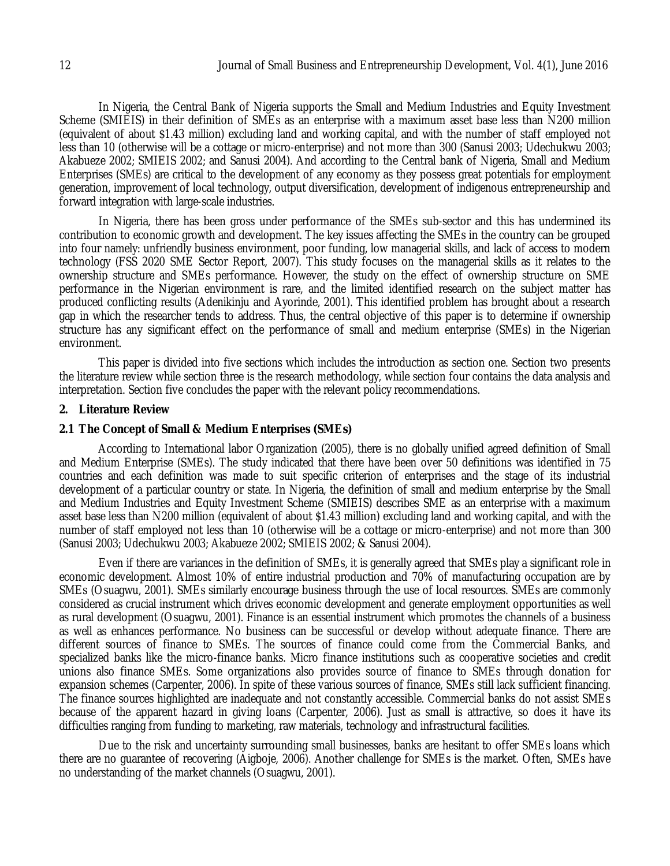In Nigeria, the Central Bank of Nigeria supports the Small and Medium Industries and Equity Investment Scheme (SMIEIS) in their definition of SMEs as an enterprise with a maximum asset base less than N200 million (equivalent of about \$1.43 million) excluding land and working capital, and with the number of staff employed not less than 10 (otherwise will be a cottage or micro-enterprise) and not more than 300 (Sanusi 2003; Udechukwu 2003; Akabueze 2002; SMIEIS 2002; and Sanusi 2004). And according to the Central bank of Nigeria, Small and Medium Enterprises (SMEs) are critical to the development of any economy as they possess great potentials for employment generation, improvement of local technology, output diversification, development of indigenous entrepreneurship and forward integration with large-scale industries.

In Nigeria, there has been gross under performance of the SMEs sub-sector and this has undermined its contribution to economic growth and development. The key issues affecting the SMEs in the country can be grouped into four namely: unfriendly business environment, poor funding, low managerial skills, and lack of access to modern technology (FSS 2020 SME Sector Report, 2007). This study focuses on the managerial skills as it relates to the ownership structure and SMEs performance. However, the study on the effect of ownership structure on SME performance in the Nigerian environment is rare, and the limited identified research on the subject matter has produced conflicting results (Adenikinju and Ayorinde, 2001). This identified problem has brought about a research gap in which the researcher tends to address. Thus, the central objective of this paper is to determine if ownership structure has any significant effect on the performance of small and medium enterprise (SMEs) in the Nigerian environment.

This paper is divided into five sections which includes the introduction as section one. Section two presents the literature review while section three is the research methodology, while section four contains the data analysis and interpretation. Section five concludes the paper with the relevant policy recommendations.

#### **2. Literature Review**

#### **2.1 The Concept of Small & Medium Enterprises (SMEs)**

According to International labor Organization (2005), there is no globally unified agreed definition of Small and Medium Enterprise (SMEs). The study indicated that there have been over 50 definitions was identified in 75 countries and each definition was made to suit specific criterion of enterprises and the stage of its industrial development of a particular country or state. In Nigeria, the definition of small and medium enterprise by the Small and Medium Industries and Equity Investment Scheme (SMIEIS) describes SME as an enterprise with a maximum asset base less than N200 million (equivalent of about \$1.43 million) excluding land and working capital, and with the number of staff employed not less than 10 (otherwise will be a cottage or micro-enterprise) and not more than 300 (Sanusi 2003; Udechukwu 2003; Akabueze 2002; SMIEIS 2002; & Sanusi 2004).

Even if there are variances in the definition of SMEs, it is generally agreed that SMEs play a significant role in economic development. Almost 10% of entire industrial production and 70% of manufacturing occupation are by SMEs (Osuagwu, 2001). SMEs similarly encourage business through the use of local resources. SMEs are commonly considered as crucial instrument which drives economic development and generate employment opportunities as well as rural development (Osuagwu, 2001). Finance is an essential instrument which promotes the channels of a business as well as enhances performance. No business can be successful or develop without adequate finance. There are different sources of finance to SMEs. The sources of finance could come from the Commercial Banks, and specialized banks like the micro-finance banks. Micro finance institutions such as cooperative societies and credit unions also finance SMEs. Some organizations also provides source of finance to SMEs through donation for expansion schemes (Carpenter, 2006). In spite of these various sources of finance, SMEs still lack sufficient financing. The finance sources highlighted are inadequate and not constantly accessible. Commercial banks do not assist SMEs because of the apparent hazard in giving loans (Carpenter, 2006). Just as small is attractive, so does it have its difficulties ranging from funding to marketing, raw materials, technology and infrastructural facilities.

Due to the risk and uncertainty surrounding small businesses, banks are hesitant to offer SMEs loans which there are no guarantee of recovering (Aigboje, 2006). Another challenge for SMEs is the market. Often, SMEs have no understanding of the market channels (Osuagwu, 2001).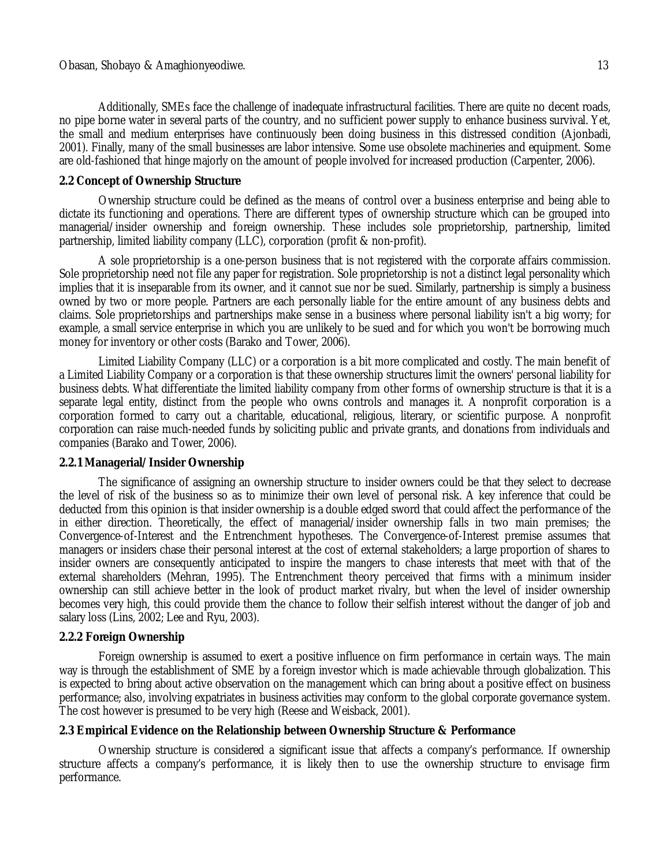Additionally, SMEs face the challenge of inadequate infrastructural facilities. There are quite no decent roads, no pipe borne water in several parts of the country, and no sufficient power supply to enhance business survival. Yet, the small and medium enterprises have continuously been doing business in this distressed condition (Ajonbadi, 2001). Finally, many of the small businesses are labor intensive. Some use obsolete machineries and equipment. Some are old-fashioned that hinge majorly on the amount of people involved for increased production (Carpenter, 2006).

## **2.2 Concept of Ownership Structure**

Ownership structure could be defined as the means of control over a business enterprise and being able to dictate its functioning and operations. There are different types of ownership structure which can be grouped into managerial/insider ownership and foreign ownership. These includes sole proprietorship, partnership, limited partnership, limited liability company (LLC), corporation (profit & non-profit).

A sole proprietorship is a one-person business that is not registered with the corporate affairs commission. Sole proprietorship need not file any paper for registration. Sole proprietorship is not a distinct legal personality which implies that it is inseparable from its owner, and it cannot sue nor be sued. Similarly, partnership is simply a business owned by two or more people. Partners are each personally liable for the entire amount of any business debts and claims. Sole proprietorships and partnerships make sense in a business where personal liability isn't a big worry; for example, a small service enterprise in which you are unlikely to be sued and for which you won't be borrowing much money for inventory or other costs (Barako and Tower, 2006).

Limited Liability Company (LLC) or a corporation is a bit more complicated and costly. The main benefit of a Limited Liability Company or a corporation is that these ownership structures limit the owners' personal liability for business debts. What differentiate the limited liability company from other forms of ownership structure is that it is a separate legal entity, distinct from the people who owns controls and manages it. A nonprofit corporation is a corporation formed to carry out a charitable, educational, religious, literary, or scientific purpose. A nonprofit corporation can raise much-needed funds by soliciting public and private grants, and donations from individuals and companies (Barako and Tower, 2006).

#### **2.2.1 Managerial/Insider Ownership**

The significance of assigning an ownership structure to insider owners could be that they select to decrease the level of risk of the business so as to minimize their own level of personal risk. A key inference that could be deducted from this opinion is that insider ownership is a double edged sword that could affect the performance of the in either direction. Theoretically, the effect of managerial/insider ownership falls in two main premises; the Convergence-of-Interest and the Entrenchment hypotheses. The Convergence-of-Interest premise assumes that managers or insiders chase their personal interest at the cost of external stakeholders; a large proportion of shares to insider owners are consequently anticipated to inspire the mangers to chase interests that meet with that of the external shareholders (Mehran, 1995). The Entrenchment theory perceived that firms with a minimum insider ownership can still achieve better in the look of product market rivalry, but when the level of insider ownership becomes very high, this could provide them the chance to follow their selfish interest without the danger of job and salary loss (Lins, 2002; Lee and Ryu, 2003).

## **2.2.2 Foreign Ownership**

Foreign ownership is assumed to exert a positive influence on firm performance in certain ways. The main way is through the establishment of SME by a foreign investor which is made achievable through globalization. This is expected to bring about active observation on the management which can bring about a positive effect on business performance; also, involving expatriates in business activities may conform to the global corporate governance system. The cost however is presumed to be very high (Reese and Weisback, 2001).

## **2.3 Empirical Evidence on the Relationship between Ownership Structure & Performance**

Ownership structure is considered a significant issue that affects a company's performance. If ownership structure affects a company's performance, it is likely then to use the ownership structure to envisage firm performance.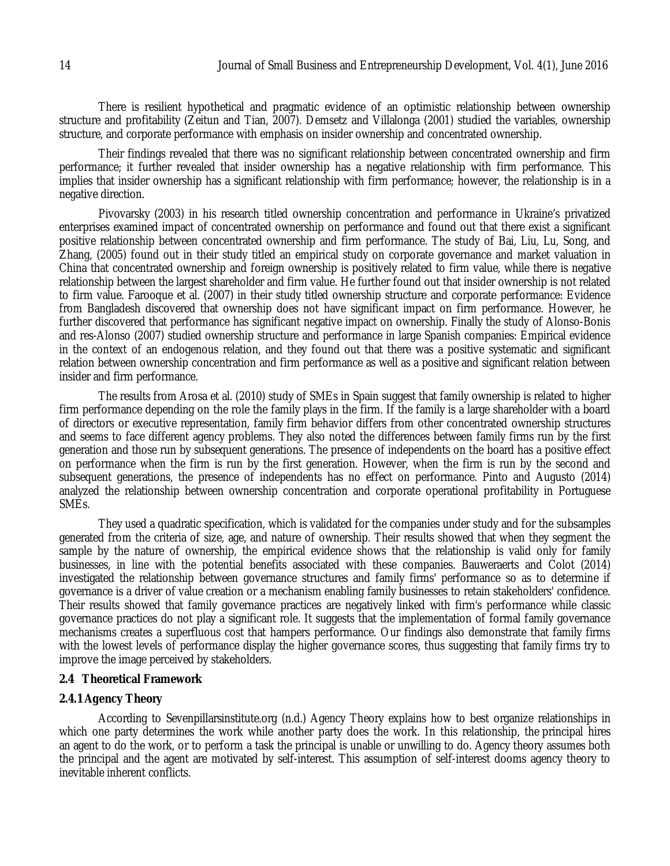There is resilient hypothetical and pragmatic evidence of an optimistic relationship between ownership structure and profitability (Zeitun and Tian, 2007). Demsetz and Villalonga (2001) studied the variables, ownership structure, and corporate performance with emphasis on insider ownership and concentrated ownership.

Their findings revealed that there was no significant relationship between concentrated ownership and firm performance; it further revealed that insider ownership has a negative relationship with firm performance. This implies that insider ownership has a significant relationship with firm performance; however, the relationship is in a negative direction.

Pivovarsky (2003) in his research titled ownership concentration and performance in Ukraine's privatized enterprises examined impact of concentrated ownership on performance and found out that there exist a significant positive relationship between concentrated ownership and firm performance. The study of Bai, Liu, Lu, Song, and Zhang, (2005) found out in their study titled an empirical study on corporate governance and market valuation in China that concentrated ownership and foreign ownership is positively related to firm value, while there is negative relationship between the largest shareholder and firm value. He further found out that insider ownership is not related to firm value. Farooque et al. (2007) in their study titled ownership structure and corporate performance: Evidence from Bangladesh discovered that ownership does not have significant impact on firm performance. However, he further discovered that performance has significant negative impact on ownership. Finally the study of Alonso-Bonis and res-Alonso (2007) studied ownership structure and performance in large Spanish companies: Empirical evidence in the context of an endogenous relation, and they found out that there was a positive systematic and significant relation between ownership concentration and firm performance as well as a positive and significant relation between insider and firm performance.

The results from Arosa et al. (2010) study of SMEs in Spain suggest that family ownership is related to higher firm performance depending on the role the family plays in the firm. If the family is a large shareholder with a board of directors or executive representation, family firm behavior differs from other concentrated ownership structures and seems to face different agency problems. They also noted the differences between family firms run by the first generation and those run by subsequent generations. The presence of independents on the board has a positive effect on performance when the firm is run by the first generation. However, when the firm is run by the second and subsequent generations, the presence of independents has no effect on performance. Pinto and Augusto (2014) analyzed the relationship between ownership concentration and corporate operational profitability in Portuguese SMEs.

They used a quadratic specification, which is validated for the companies under study and for the subsamples generated from the criteria of size, age, and nature of ownership. Their results showed that when they segment the sample by the nature of ownership, the empirical evidence shows that the relationship is valid only for family businesses, in line with the potential benefits associated with these companies. Bauweraerts and Colot (2014) investigated the relationship between governance structures and family firms' performance so as to determine if governance is a driver of value creation or a mechanism enabling family businesses to retain stakeholders' confidence. Their results showed that family governance practices are negatively linked with firm's performance while classic governance practices do not play a significant role. It suggests that the implementation of formal family governance mechanisms creates a superfluous cost that hampers performance. Our findings also demonstrate that family firms with the lowest levels of performance display the higher governance scores, thus suggesting that family firms try to improve the image perceived by stakeholders.

#### **2.4 Theoretical Framework**

# **2.4.1 Agency Theory**

According to Sevenpillarsinstitute.org (n.d.) Agency Theory explains how to best organize relationships in which one party determines the work while another party does the work. In this relationship, the principal hires an agent to do the work, or to perform a task the principal is unable or unwilling to do. Agency theory assumes both the principal and the agent are motivated by self-interest. This assumption of self-interest dooms agency theory to inevitable inherent conflicts.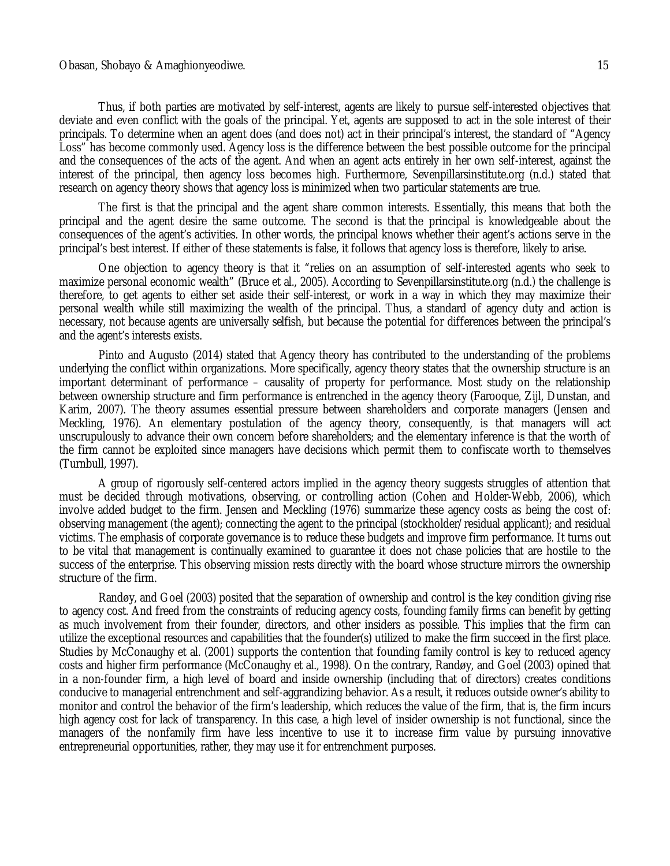#### Obasan, Shobayo & Amaghionyeodiwe. 15

Thus, if both parties are motivated by self-interest, agents are likely to pursue self-interested objectives that deviate and even conflict with the goals of the principal. Yet, agents are supposed to act in the sole interest of their principals. To determine when an agent does (and does not) act in their principal's interest, the standard of "Agency Loss" has become commonly used. Agency loss is the difference between the best possible outcome for the principal and the consequences of the acts of the agent. And when an agent acts entirely in her own self-interest, against the interest of the principal, then agency loss becomes high. Furthermore, Sevenpillarsinstitute.org (n.d.) stated that research on agency theory shows that agency loss is minimized when two particular statements are true.

The first is that the principal and the agent share common interests. Essentially, this means that both the principal and the agent desire the same outcome. The second is that the principal is knowledgeable about the consequences of the agent's activities. In other words, the principal knows whether their agent's actions serve in the principal's best interest. If either of these statements is false, it follows that agency loss is therefore, likely to arise.

One objection to agency theory is that it "relies on an assumption of self-interested agents who seek to maximize personal economic wealth" (Bruce et al., 2005). According to Sevenpillarsinstitute.org (n.d.) the challenge is therefore, to get agents to either set aside their self-interest, or work in a way in which they may maximize their personal wealth while still maximizing the wealth of the principal. Thus, a standard of agency duty and action is necessary, not because agents are universally selfish, but because the potential for differences between the principal's and the agent's interests exists.

Pinto and Augusto (2014) stated that Agency theory has contributed to the understanding of the problems underlying the conflict within organizations. More specifically, agency theory states that the ownership structure is an important determinant of performance – causality of property for performance. Most study on the relationship between ownership structure and firm performance is entrenched in the agency theory (Farooque, Zijl, Dunstan, and Karim, 2007). The theory assumes essential pressure between shareholders and corporate managers (Jensen and Meckling, 1976). An elementary postulation of the agency theory, consequently, is that managers will act unscrupulously to advance their own concern before shareholders; and the elementary inference is that the worth of the firm cannot be exploited since managers have decisions which permit them to confiscate worth to themselves (Turnbull, 1997).

A group of rigorously self-centered actors implied in the agency theory suggests struggles of attention that must be decided through motivations, observing, or controlling action (Cohen and Holder-Webb, 2006), which involve added budget to the firm. Jensen and Meckling (1976) summarize these agency costs as being the cost of: observing management (the agent); connecting the agent to the principal (stockholder/residual applicant); and residual victims. The emphasis of corporate governance is to reduce these budgets and improve firm performance. It turns out to be vital that management is continually examined to guarantee it does not chase policies that are hostile to the success of the enterprise. This observing mission rests directly with the board whose structure mirrors the ownership structure of the firm.

Randøy, and Goel (2003) posited that the separation of ownership and control is the key condition giving rise to agency cost. And freed from the constraints of reducing agency costs, founding family firms can benefit by getting as much involvement from their founder, directors, and other insiders as possible. This implies that the firm can utilize the exceptional resources and capabilities that the founder(s) utilized to make the firm succeed in the first place. Studies by McConaughy et al. (2001) supports the contention that founding family control is key to reduced agency costs and higher firm performance (McConaughy et al., 1998). On the contrary, Randøy, and Goel (2003) opined that in a non-founder firm, a high level of board and inside ownership (including that of directors) creates conditions conducive to managerial entrenchment and self-aggrandizing behavior. As a result, it reduces outside owner's ability to monitor and control the behavior of the firm's leadership, which reduces the value of the firm, that is, the firm incurs high agency cost for lack of transparency. In this case, a high level of insider ownership is not functional, since the managers of the nonfamily firm have less incentive to use it to increase firm value by pursuing innovative entrepreneurial opportunities, rather, they may use it for entrenchment purposes.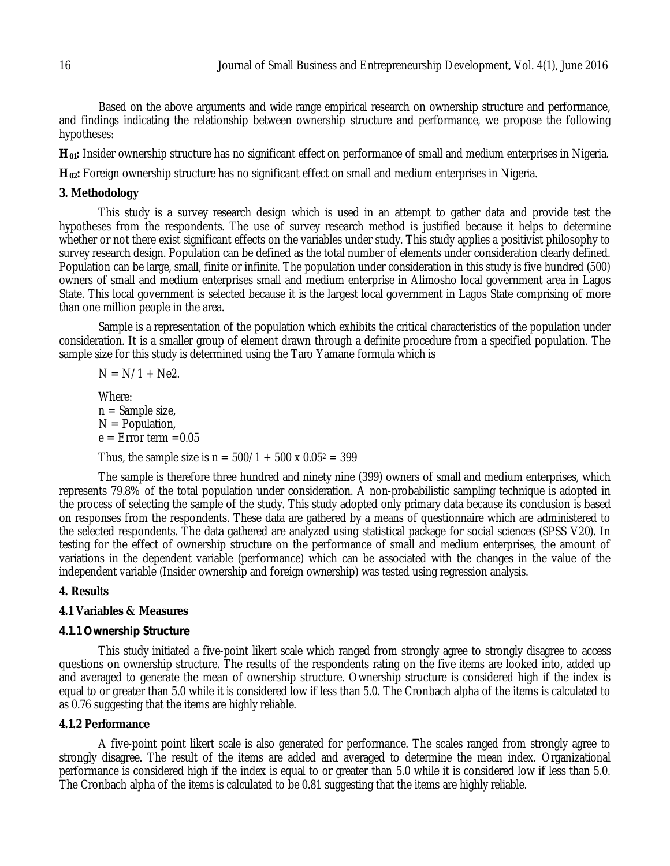Based on the above arguments and wide range empirical research on ownership structure and performance, and findings indicating the relationship between ownership structure and performance, we propose the following hypotheses:

**H01:** Insider ownership structure has no significant effect on performance of small and medium enterprises in Nigeria.

**H02:** Foreign ownership structure has no significant effect on small and medium enterprises in Nigeria.

#### **3. Methodology**

This study is a survey research design which is used in an attempt to gather data and provide test the hypotheses from the respondents. The use of survey research method is justified because it helps to determine whether or not there exist significant effects on the variables under study. This study applies a positivist philosophy to survey research design. Population can be defined as the total number of elements under consideration clearly defined. Population can be large, small, finite or infinite. The population under consideration in this study is five hundred (500) owners of small and medium enterprises small and medium enterprise in Alimosho local government area in Lagos State. This local government is selected because it is the largest local government in Lagos State comprising of more than one million people in the area.

Sample is a representation of the population which exhibits the critical characteristics of the population under consideration. It is a smaller group of element drawn through a definite procedure from a specified population. The sample size for this study is determined using the Taro Yamane formula which is

 $N = N/1 + Ne2$ .

Where:  $n =$ Sample size,  $N =$  Population,  $e =$  Error term = 0.05

Thus, the sample size is  $n = 500/1 + 500 \times 0.05^2 = 399$ 

The sample is therefore three hundred and ninety nine (399) owners of small and medium enterprises, which represents 79.8% of the total population under consideration. A non-probabilistic sampling technique is adopted in the process of selecting the sample of the study. This study adopted only primary data because its conclusion is based on responses from the respondents. These data are gathered by a means of questionnaire which are administered to the selected respondents. The data gathered are analyzed using statistical package for social sciences (SPSS V20). In testing for the effect of ownership structure on the performance of small and medium enterprises, the amount of variations in the dependent variable (performance) which can be associated with the changes in the value of the independent variable (Insider ownership and foreign ownership) was tested using regression analysis.

#### **4. Results**

#### **4.1 Variables & Measures**

### *4.1.1 Ownership Structure*

This study initiated a five-point likert scale which ranged from strongly agree to strongly disagree to access questions on ownership structure. The results of the respondents rating on the five items are looked into, added up and averaged to generate the mean of ownership structure. Ownership structure is considered high if the index is equal to or greater than 5.0 while it is considered low if less than 5.0. The Cronbach alpha of the items is calculated to as 0.76 suggesting that the items are highly reliable.

#### **4.1.2 Performance**

A five-point point likert scale is also generated for performance. The scales ranged from strongly agree to strongly disagree. The result of the items are added and averaged to determine the mean index. Organizational performance is considered high if the index is equal to or greater than 5.0 while it is considered low if less than 5.0. The Cronbach alpha of the items is calculated to be 0.81 suggesting that the items are highly reliable.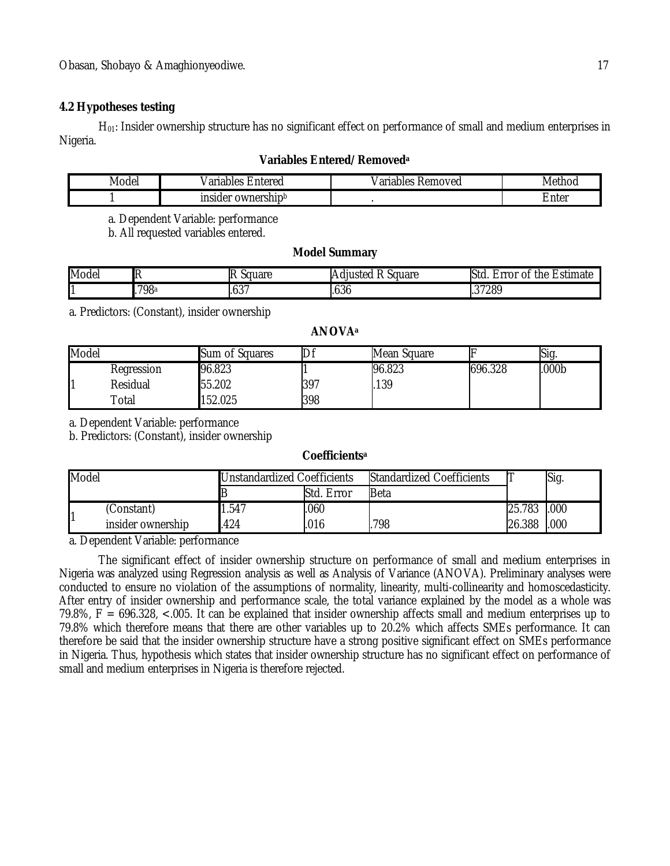# **4.2 Hypotheses testing**

H<sub>01</sub>: Insider ownership structure has no significant effect on performance of small and medium enterprises in Nigeria.

# **Variables Entered/Removed<sup>a</sup>**

| ൶<br>"oae.<br>νI | $n + \alpha + \alpha$<br>$\sim$ $\sim$<br>$ -$<br>711<br>ж<br>แมน | .<br>ules.<br>novea<br>. | .vie<br>ли.             |
|------------------|-------------------------------------------------------------------|--------------------------|-------------------------|
|                  | ownership<br>m<br>-<br>Je.<br>. .                                 |                          | $n + \alpha r$<br>∠nter |

a. Dependent Variable: performance

b. All requested variables entered.

# **Model Summary**

| Model |           | IF<br>.nularr<br>uuai t | Square<br>ict <i>c</i><br>$n$ $\theta$<br>А | :stimate<br>. .<br>rror<br>οt<br>the<br>-<br>iэtu<br>-<br>_ |
|-------|-----------|-------------------------|---------------------------------------------|-------------------------------------------------------------|
| ⊷     | '98ª<br>- | - - -<br>ו טטו          | .030                                        | 37289<br>. ب                                                |

a. Predictors: (Constant), insider ownership

# **ANOVA<sup>a</sup>**

| Model |             | Sum of Squares | $D_1$ | Mean Square |         | r<br>NQ |
|-------|-------------|----------------|-------|-------------|---------|---------|
|       | Rearession  | 96.823         |       | 96.823      | 696.328 | 000b    |
|       | Residual    | 55.202         | 397   | 139         |         |         |
|       | $\tau$ otal | 152.025        | 398   |             |         |         |

a. Dependent Variable: performance

b. Predictors: (Constant), insider ownership

# **Coefficients<sup>a</sup>**

| Model |                   | <b>Unstandardized Coefficients</b> |            | <b>Standardized Coefficients</b> |        | Sig. |
|-------|-------------------|------------------------------------|------------|----------------------------------|--------|------|
|       |                   |                                    | Std. Error | <b>Beta</b>                      |        |      |
|       | (Constant)        | 1.547                              | 060        |                                  | 25.783 | .000 |
|       | insider ownership | 424                                | .016       | 798                              | 26.388 | .000 |

a. Dependent Variable: performance

The significant effect of insider ownership structure on performance of small and medium enterprises in Nigeria was analyzed using Regression analysis as well as Analysis of Variance (ANOVA). Preliminary analyses were conducted to ensure no violation of the assumptions of normality, linearity, multi-collinearity and homoscedasticity. After entry of insider ownership and performance scale, the total variance explained by the model as a whole was 79.8%, F = 696.328, <.005. It can be explained that insider ownership affects small and medium enterprises up to 79.8% which therefore means that there are other variables up to 20.2% which affects SMEs performance. It can therefore be said that the insider ownership structure have a strong positive significant effect on SMEs performance in Nigeria. Thus, hypothesis which states that insider ownership structure has no significant effect on performance of small and medium enterprises in Nigeria is therefore rejected.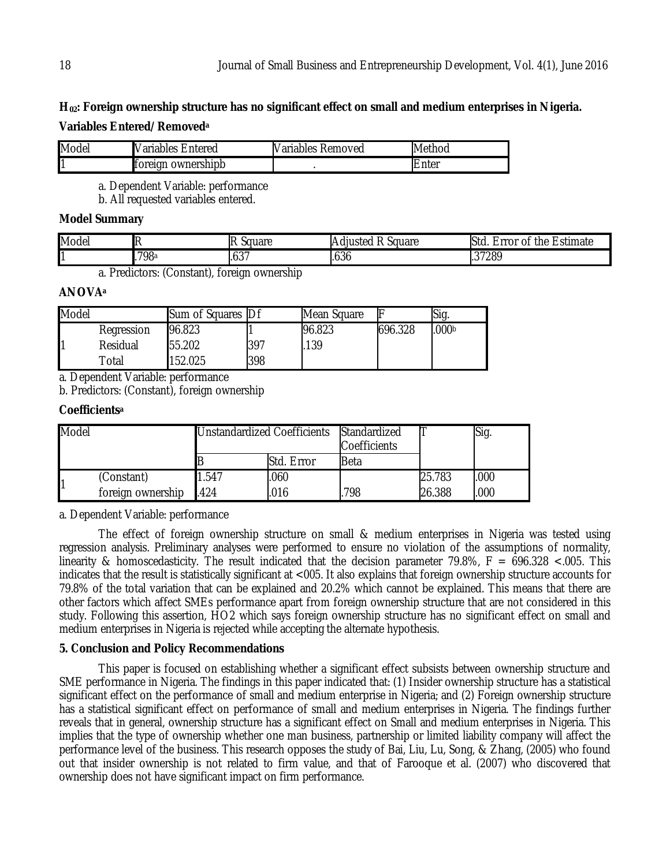# **H02: Foreign ownership structure has no significant effect on small and medium enterprises in Nigeria. Variables Entered/Removed<sup>a</sup>**

| Model | Variables<br>⊧ Entered        | <b>Nariables</b><br>∶Removed | Method     |
|-------|-------------------------------|------------------------------|------------|
| и     | ownershipb<br><b>T</b> oreign |                              | .nter<br>Έ |

a. Dependent Variable: performance

b. All requested variables entered.

# **Model Summary**

| Model | . .         | Square        | $\sim$ $\sim$<br><br>Square<br><b>Adjusted</b><br> | $\overline{\phantom{0}}$<br>Estimate<br>Std<br>≞rror<br>the<br>0t |
|-------|-------------|---------------|----------------------------------------------------|-------------------------------------------------------------------|
|       | 798а<br>. . | ົດ –<br>1.637 | $\sim$<br>1.030                                    | .37289                                                            |

a. Predictors: (Constant), foreign ownership

# **ANOVA<sup>a</sup>**

| Model |            | Sum of Squares   Df |     | Mean Square |         | Sig.              |
|-------|------------|---------------------|-----|-------------|---------|-------------------|
|       | Regression | 96.823              |     | 96.823      | 696.328 | .000 <sub>b</sub> |
|       | Residual   | 55.202              | 397 | 139         |         |                   |
|       | Гоtal      | 152.025             | 398 |             |         |                   |

a. Dependent Variable: performance

b. Predictors: (Constant), foreign ownership

# **Coefficients<sup>a</sup>**

| <b>Model</b> |                   | <b>Unstandardized Coefficients</b> |            | Standardized<br>Coefficients |        | Sig. |
|--------------|-------------------|------------------------------------|------------|------------------------------|--------|------|
|              |                   |                                    | Std. Error | Beta                         |        |      |
|              | (Constant)        | 1.547                              | .060       |                              | 25.783 | .000 |
|              | foreign ownership | .424                               | .016       | 798                          | 26.388 | .000 |

a. Dependent Variable: performance

The effect of foreign ownership structure on small & medium enterprises in Nigeria was tested using regression analysis. Preliminary analyses were performed to ensure no violation of the assumptions of normality, linearity & homoscedasticity. The result indicated that the decision parameter 79.8%,  $F = 696.328 < 0.005$ . This indicates that the result is statistically significant at <005. It also explains that foreign ownership structure accounts for 79.8% of the total variation that can be explained and 20.2% which cannot be explained. This means that there are other factors which affect SMEs performance apart from foreign ownership structure that are not considered in this study. Following this assertion, HO2 which says foreign ownership structure has no significant effect on small and medium enterprises in Nigeria is rejected while accepting the alternate hypothesis.

# **5. Conclusion and Policy Recommendations**

This paper is focused on establishing whether a significant effect subsists between ownership structure and SME performance in Nigeria. The findings in this paper indicated that: (1) Insider ownership structure has a statistical significant effect on the performance of small and medium enterprise in Nigeria; and (2) Foreign ownership structure has a statistical significant effect on performance of small and medium enterprises in Nigeria. The findings further reveals that in general, ownership structure has a significant effect on Small and medium enterprises in Nigeria. This implies that the type of ownership whether one man business, partnership or limited liability company will affect the performance level of the business. This research opposes the study of Bai, Liu, Lu, Song, & Zhang, (2005) who found out that insider ownership is not related to firm value, and that of Farooque et al. (2007) who discovered that ownership does not have significant impact on firm performance.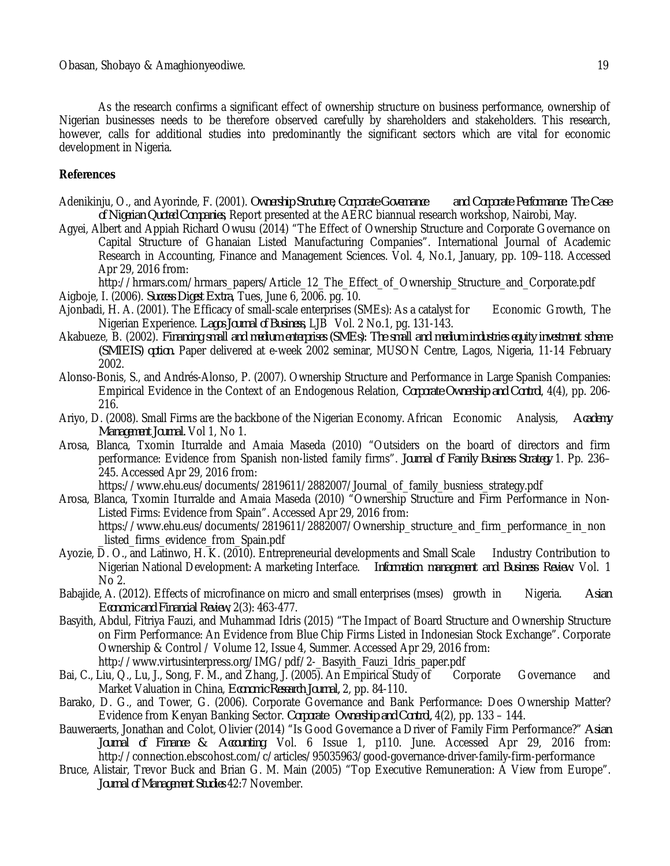As the research confirms a significant effect of ownership structure on business performance, ownership of Nigerian businesses needs to be therefore observed carefully by shareholders and stakeholders. This research, however, calls for additional studies into predominantly the significant sectors which are vital for economic development in Nigeria.

# **References**

- Adenikinju, O., and Ayorinde, F. (2001). *Ownership Structure, Corporate Governance and Corporate Performance: The Case of Nigerian Quoted Companies,* Report presented at the AERC biannual research workshop, Nairobi, May.
- Agyei, Albert and Appiah Richard Owusu (2014) "The Effect of Ownership Structure and Corporate Governance on Capital Structure of Ghanaian Listed Manufacturing Companies". International Journal of Academic Research in Accounting, Finance and Management Sciences. Vol. 4, No.1, January, pp. 109–118. Accessed Apr 29, 2016 from:

http://hrmars.com/hrmars\_papers/Article\_12\_The\_Effect\_of\_Ownership\_Structure\_and\_Corporate.pdf Aigboje, I. (2006). *Success Digest Extra*, Tues, June 6, 2006. pg. 10.

- Ajonbadi, H. A. (2001). The Efficacy of small-scale enterprises (SMEs): As a catalyst for Economic Growth, The Nigerian Experience. *Lagos Journal of Business,* LJB Vol. 2 No.1, pg. 131-143.
- Akabueze, B. (2002). *Financing small and medium enterprises (SMEs): The small and medium industries equity investment scheme (SMIEIS) option.* Paper delivered at e-week 2002 seminar, MUSON Centre, Lagos, Nigeria, 11-14 February 2002.
- Alonso-Bonis, S., and Andrés-Alonso, P. (2007). Ownership Structure and Performance in Large Spanish Companies: Empirical Evidence in the Context of an Endogenous Relation, *Corporate Ownership and Control*, 4(4), pp. 206- 216.
- Ariyo, D. (2008). Small Firms are the backbone of the Nigerian Economy. African Economic Analysis, *Academy Management Journal.* Vol 1, No 1.
- Arosa, Blanca, Txomin Iturralde and Amaia Maseda (2010) "Outsiders on the board of directors and firm performance: Evidence from Spanish non-listed family firms". *Journal of Family Business Strategy* 1. Pp. 236– 245. Accessed Apr 29, 2016 from:

https://www.ehu.eus/documents/2819611/2882007/Journal\_of\_family\_busniess\_strategy.pdf

- Arosa, Blanca, Txomin Iturralde and Amaia Maseda (2010) "Ownership Structure and Firm Performance in Non-Listed Firms: Evidence from Spain". Accessed Apr 29, 2016 from: https://www.ehu.eus/documents/2819611/2882007/Ownership\_structure\_and\_firm\_performance\_in\_non \_listed\_firms\_evidence\_from\_Spain.pdf
- Ayozie, D. O., and Latinwo, H. K. (2010). Entrepreneurial developments and Small Scale Industry Contribution to Nigerian National Development: A marketing Interface. *Information management and Business Review.* Vol. 1 No 2.
- Babajide, A. (2012). Effects of microfinance on micro and small enterprises (mses) growth in Nigeria. *Asian Economic and Financial Review,* 2(3): 463-477.
- Basyith, Abdul, Fitriya Fauzi, and Muhammad Idris (2015) "The Impact of Board Structure and Ownership Structure on Firm Performance: An Evidence from Blue Chip Firms Listed in Indonesian Stock Exchange". Corporate Ownership & Control / Volume 12, Issue 4, Summer. Accessed Apr 29, 2016 from:
- http://www.virtusinterpress.org/IMG/pdf/2-\_Basyith\_Fauzi\_Idris\_paper.pdf<br>Liu, O., Lu, J., Song, F. M., and Zhang, J. (2005). An Empirical Study of The Corporate Bai, C., Liu, Q., Lu, J., Song, F. M., and Zhang, J. (2005). An Empirical Study of Corporate Governance and Market Valuation in China, *Economic Research Journal,* 2, pp. 84-110*.*
- Barako, D. G., and Tower, G. (2006). Corporate Governance and Bank Performance: Does Ownership Matter? Evidence from Kenyan Banking Sector. *Corporate Ownership and Control,* 4(2), pp. 133 – 144.
- Bauweraerts, Jonathan and Colot, Olivier (2014) "Is Good Governance a Driver of Family Firm Performance?" *Asian Journal of Finance & Accounting.* Vol. 6 Issue 1, p110. June. Accessed Apr 29, 2016 from: http://connection.ebscohost.com/c/articles/95035963/good-governance-driver-family-firm-performance
- Bruce, Alistair, Trevor Buck and Brian G. M. Main (2005) "Top Executive Remuneration: A View from Europe". *Journal of Management Studies* 42:7 November.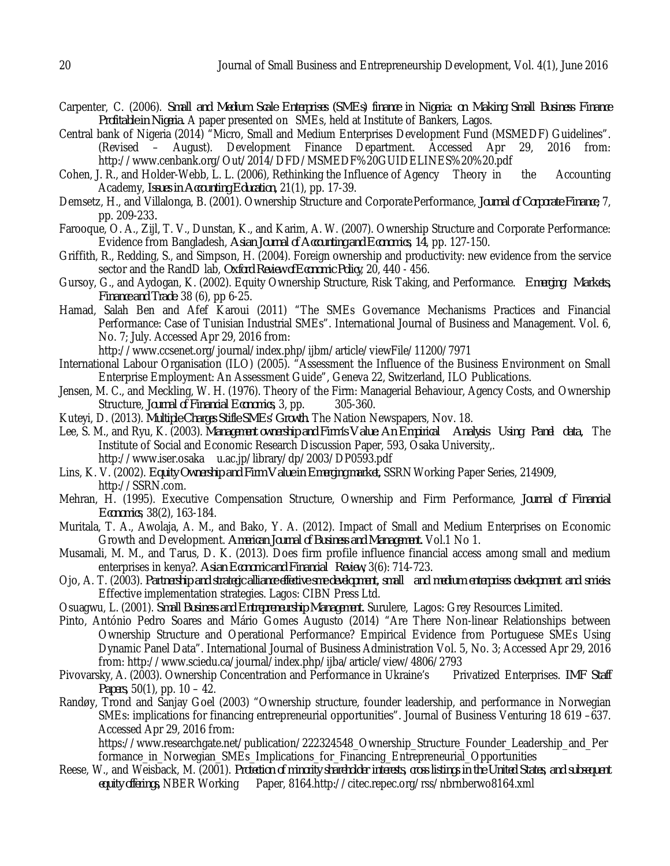- Carpenter, C. (2006). *Small and Medium Scale Enterprises (SMEs) finance in Nigeria: on Making Small Business Finance Profitable in Nigeria.* A paper presented on SMEs, held at Institute of Bankers, Lagos.
- Central bank of Nigeria (2014) "Micro, Small and Medium Enterprises Development Fund (MSMEDF) Guidelines". (Revised – August). Development Finance Department. Accessed Apr 29, 2016 from: http://www.cenbank.org/Out/2014/DFD/MSMEDF%20GUIDELINES%20%20.pdf
- Cohen, J. R., and Holder-Webb, L. L. (2006), Rethinking the Influence of Agency Theory in the Accounting Academy, *Issues in Accounting Education,* 21(1), pp. 17-39.
- Demsetz, H., and Villalonga, B. (2001). Ownership Structure and CorporatePerformance, *Journal of Corporate Finance,* 7, pp. 209-233*.*
- Farooque, O. A., Zijl, T. V., Dunstan, K., and Karim, A. W. (2007). Ownership Structure and Corporate Performance: Evidence from Bangladesh, *Asian Journal of Accounting and Economics, 14*, pp. 127-150.
- Griffith, R., Redding, S., and Simpson, H. (2004). Foreign ownership and productivity: new evidence from the service sector and the RandD lab, *Oxford Review ofEconomic Policy*, 20, 440 - 456.
- Gursoy, G., and Aydogan, K. (2002). Equity Ownership Structure, Risk Taking, and Performance. *Emerging Markets, Finance and Trade*. 38 (6), pp 6-25.
- Hamad, Salah Ben and Afef Karoui (2011) "The SMEs Governance Mechanisms Practices and Financial Performance: Case of Tunisian Industrial SMEs". International Journal of Business and Management. Vol. 6, No. 7; July. Accessed Apr 29, 2016 from:

http://www.ccsenet.org/journal/index.php/ijbm/article/viewFile/11200/7971

- International Labour Organisation (ILO) (2005). "Assessment the Influence of the Business Environment on Small Enterprise Employment: An Assessment Guide", Geneva 22, Switzerland, ILO Publications.
- Jensen, M. C., and Meckling, W. H. (1976). Theory of the Firm: Managerial Behaviour, Agency Costs, and Ownership<br>Structure, Journal of Financial Economics, 3, pp. 305-360. Structure, *Journal of Financial Economics*, 3, pp.
- Kuteyi, D. (2013). *Multiple Charges Stifle SMEs' Growth.* The Nation Newspapers, Nov. 18.
- Lee, S. M., and Ryu, K. (2003). *Management ownership and Firm's Value: An Empirical Analysis Using Panel data,* The Institute of Social and Economic Research Discussion Paper, 593, Osaka University,. http://www.iser.osaka u.ac.jp/library/dp/2003/DP0593.pdf
- Lins, K. V. (2002). *Equity Ownership and Firm Value in Emerging market,* SSRNWorking Paper Series, 214909, http://SSRN.com.
- Mehran, H. (1995). Executive Compensation Structure, Ownership and Firm Performance, *Journal of Financial Economics*, 38(2), 163-184.
- Muritala, T. A., Awolaja, A. M., and Bako, Y. A. (2012). Impact of Small and Medium Enterprises on Economic Growth and Development. *American Journal of Business and Management.* Vol.1 No 1.
- Musamali, M. M., and Tarus, D. K. (2013). Does firm profile influence financial access among small and medium enterprises in kenya?. *Asian Economic and Financial Review,* 3(6): 714-723.
- Ojo, A. T. (2003). *Partnership and strategic alliance effective sme development, small and medium enterprises development and smieis:* Effective implementation strategies. Lagos: CIBN Press Ltd.
- Osuagwu, L. (2001). *Small Business and Entrepreneurship Management.* Surulere, Lagos: Grey Resources Limited.
- Pinto, António Pedro Soares and Mário Gomes Augusto (2014) "Are There Non-linear Relationships between Ownership Structure and Operational Performance? Empirical Evidence from Portuguese SMEs Using Dynamic Panel Data". International Journal of Business Administration Vol. 5, No. 3; Accessed Apr 29, 2016 from: http://www.sciedu.ca/journal/index.php/ijba/article/view/4806/2793<br>ky, A. (2003). Ownership Concentration and Performance in Ukraine's Privatized Enterprises. *IMF Staff*
- Pivovarsky, A. (2003). Ownership Concentration and Performance in Ukraine's. *Papers,* 50(1), pp. 10 – 42.
- Randøy, Trond and Sanjay Goel (2003) "Ownership structure, founder leadership, and performance in Norwegian SMEs: implications for financing entrepreneurial opportunities". Journal of Business Venturing 18 619 –637. Accessed Apr 29, 2016 from:

https://www.researchgate.net/publication/222324548\_Ownership\_Structure\_Founder\_Leadership\_and\_Per formance\_in\_Norwegian\_SMEs\_Implications\_for\_Financing\_Entrepreneurial\_Opportunities

Reese, W., and Weisback, M. (2001). *Protection of minority shareholder interests, cross listings in the United States, and subsequent equity offerings,* NBER Working Paper, 8164.http://citec.repec.org/rss/nbrnberwo8164.xml